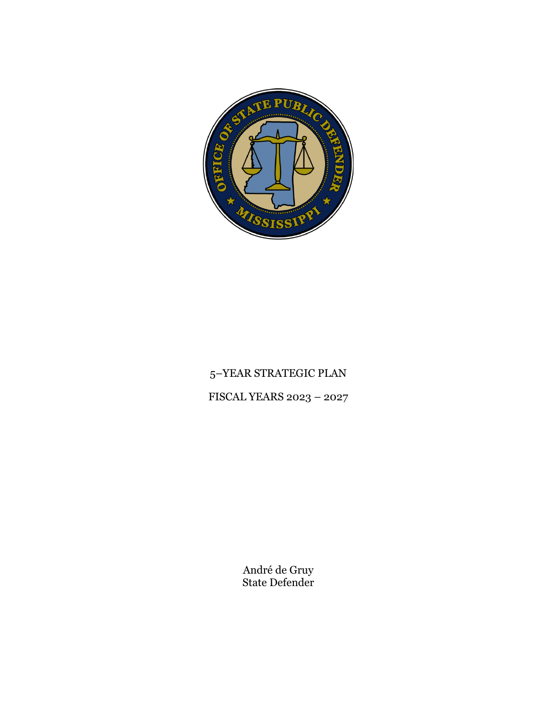

# 5–YEAR STRATEGIC PLAN FISCAL YEARS 2023 – 2027

André de Gruy State Defender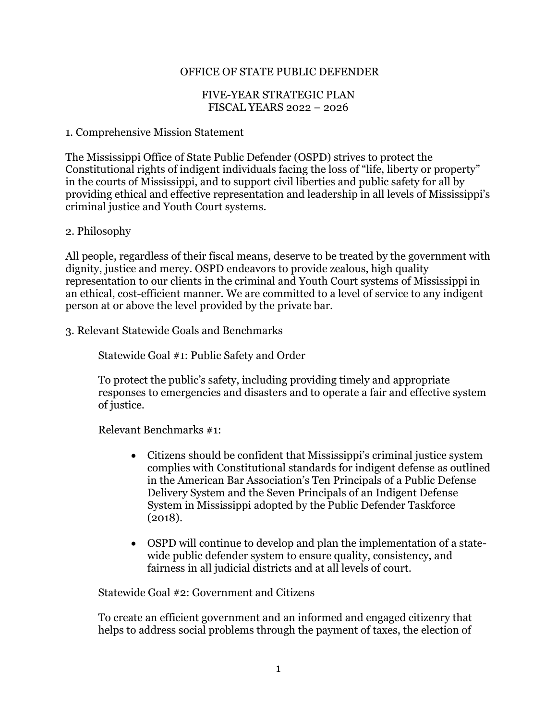## OFFICE OF STATE PUBLIC DEFENDER

#### FIVE-YEAR STRATEGIC PLAN FISCAL YEARS 2022 – 2026

#### 1. Comprehensive Mission Statement

The Mississippi Office of State Public Defender (OSPD) strives to protect the Constitutional rights of indigent individuals facing the loss of "life, liberty or property" in the courts of Mississippi, and to support civil liberties and public safety for all by providing ethical and effective representation and leadership in all levels of Mississippi's criminal justice and Youth Court systems.

#### 2. Philosophy

All people, regardless of their fiscal means, deserve to be treated by the government with dignity, justice and mercy. OSPD endeavors to provide zealous, high quality representation to our clients in the criminal and Youth Court systems of Mississippi in an ethical, cost-efficient manner. We are committed to a level of service to any indigent person at or above the level provided by the private bar.

3. Relevant Statewide Goals and Benchmarks

Statewide Goal #1: Public Safety and Order

To protect the public's safety, including providing timely and appropriate responses to emergencies and disasters and to operate a fair and effective system of justice.

Relevant Benchmarks #1:

- Citizens should be confident that Mississippi's criminal justice system complies with Constitutional standards for indigent defense as outlined in the American Bar Association's Ten Principals of a Public Defense Delivery System and the Seven Principals of an Indigent Defense System in Mississippi adopted by the Public Defender Taskforce (2018).
- OSPD will continue to develop and plan the implementation of a statewide public defender system to ensure quality, consistency, and fairness in all judicial districts and at all levels of court.

Statewide Goal #2: Government and Citizens

To create an efficient government and an informed and engaged citizenry that helps to address social problems through the payment of taxes, the election of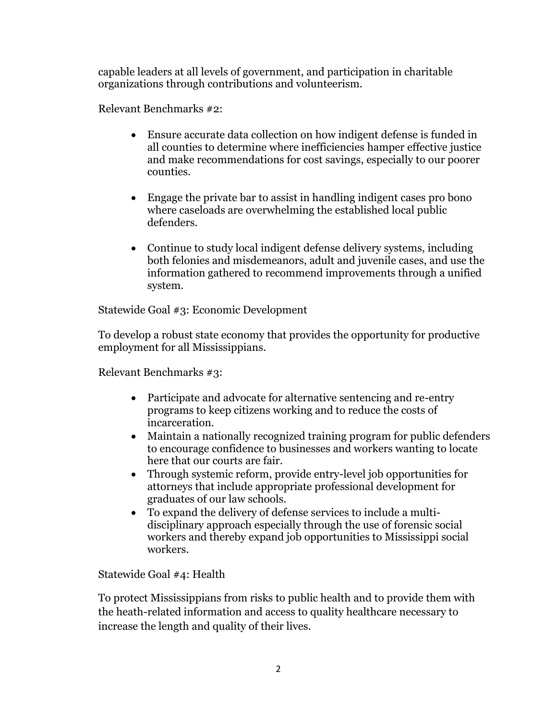capable leaders at all levels of government, and participation in charitable organizations through contributions and volunteerism.

Relevant Benchmarks #2:

- Ensure accurate data collection on how indigent defense is funded in all counties to determine where inefficiencies hamper effective justice and make recommendations for cost savings, especially to our poorer counties.
- Engage the private bar to assist in handling indigent cases pro bono where caseloads are overwhelming the established local public defenders.
- Continue to study local indigent defense delivery systems, including both felonies and misdemeanors, adult and juvenile cases, and use the information gathered to recommend improvements through a unified system.

Statewide Goal #3: Economic Development

To develop a robust state economy that provides the opportunity for productive employment for all Mississippians.

Relevant Benchmarks #3:

- Participate and advocate for alternative sentencing and re-entry programs to keep citizens working and to reduce the costs of incarceration.
- Maintain a nationally recognized training program for public defenders to encourage confidence to businesses and workers wanting to locate here that our courts are fair.
- Through systemic reform, provide entry-level job opportunities for attorneys that include appropriate professional development for graduates of our law schools.
- To expand the delivery of defense services to include a multidisciplinary approach especially through the use of forensic social workers and thereby expand job opportunities to Mississippi social workers.

Statewide Goal #4: Health

To protect Mississippians from risks to public health and to provide them with the heath-related information and access to quality healthcare necessary to increase the length and quality of their lives.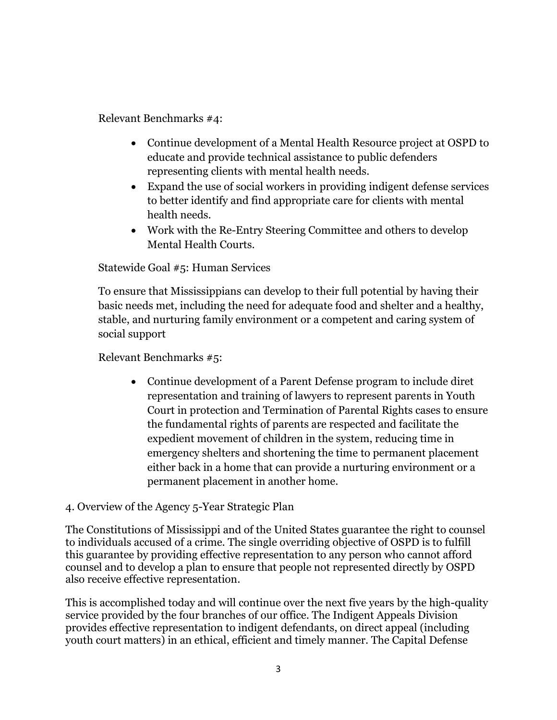Relevant Benchmarks #4:

- Continue development of a Mental Health Resource project at OSPD to educate and provide technical assistance to public defenders representing clients with mental health needs.
- Expand the use of social workers in providing indigent defense services to better identify and find appropriate care for clients with mental health needs.
- Work with the Re-Entry Steering Committee and others to develop Mental Health Courts.

Statewide Goal #5: Human Services

To ensure that Mississippians can develop to their full potential by having their basic needs met, including the need for adequate food and shelter and a healthy, stable, and nurturing family environment or a competent and caring system of social support

Relevant Benchmarks #5:

• Continue development of a Parent Defense program to include diret representation and training of lawyers to represent parents in Youth Court in protection and Termination of Parental Rights cases to ensure the fundamental rights of parents are respected and facilitate the expedient movement of children in the system, reducing time in emergency shelters and shortening the time to permanent placement either back in a home that can provide a nurturing environment or a permanent placement in another home.

## 4. Overview of the Agency 5-Year Strategic Plan

The Constitutions of Mississippi and of the United States guarantee the right to counsel to individuals accused of a crime. The single overriding objective of OSPD is to fulfill this guarantee by providing effective representation to any person who cannot afford counsel and to develop a plan to ensure that people not represented directly by OSPD also receive effective representation.

This is accomplished today and will continue over the next five years by the high-quality service provided by the four branches of our office. The Indigent Appeals Division provides effective representation to indigent defendants, on direct appeal (including youth court matters) in an ethical, efficient and timely manner. The Capital Defense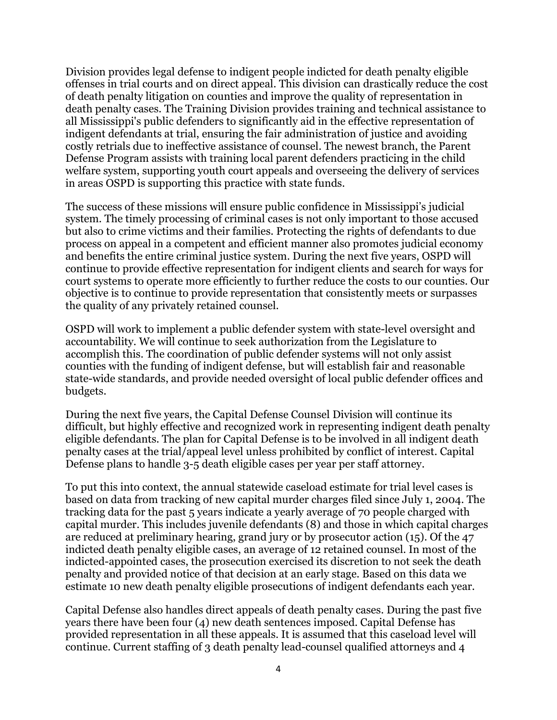Division provides legal defense to indigent people indicted for death penalty eligible offenses in trial courts and on direct appeal. This division can drastically reduce the cost of death penalty litigation on counties and improve the quality of representation in death penalty cases. The Training Division provides training and technical assistance to all Mississippi's public defenders to significantly aid in the effective representation of indigent defendants at trial, ensuring the fair administration of justice and avoiding costly retrials due to ineffective assistance of counsel. The newest branch, the Parent Defense Program assists with training local parent defenders practicing in the child welfare system, supporting youth court appeals and overseeing the delivery of services in areas OSPD is supporting this practice with state funds.

The success of these missions will ensure public confidence in Mississippi's judicial system. The timely processing of criminal cases is not only important to those accused but also to crime victims and their families. Protecting the rights of defendants to due process on appeal in a competent and efficient manner also promotes judicial economy and benefits the entire criminal justice system. During the next five years, OSPD will continue to provide effective representation for indigent clients and search for ways for court systems to operate more efficiently to further reduce the costs to our counties. Our objective is to continue to provide representation that consistently meets or surpasses the quality of any privately retained counsel.

OSPD will work to implement a public defender system with state-level oversight and accountability. We will continue to seek authorization from the Legislature to accomplish this. The coordination of public defender systems will not only assist counties with the funding of indigent defense, but will establish fair and reasonable state-wide standards, and provide needed oversight of local public defender offices and budgets.

During the next five years, the Capital Defense Counsel Division will continue its difficult, but highly effective and recognized work in representing indigent death penalty eligible defendants. The plan for Capital Defense is to be involved in all indigent death penalty cases at the trial/appeal level unless prohibited by conflict of interest. Capital Defense plans to handle 3-5 death eligible cases per year per staff attorney.

To put this into context, the annual statewide caseload estimate for trial level cases is based on data from tracking of new capital murder charges filed since July 1, 2004. The tracking data for the past 5 years indicate a yearly average of 70 people charged with capital murder. This includes juvenile defendants (8) and those in which capital charges are reduced at preliminary hearing, grand jury or by prosecutor action (15). Of the 47 indicted death penalty eligible cases, an average of 12 retained counsel. In most of the indicted-appointed cases, the prosecution exercised its discretion to not seek the death penalty and provided notice of that decision at an early stage. Based on this data we estimate 10 new death penalty eligible prosecutions of indigent defendants each year.

Capital Defense also handles direct appeals of death penalty cases. During the past five years there have been four (4) new death sentences imposed. Capital Defense has provided representation in all these appeals. It is assumed that this caseload level will continue. Current staffing of 3 death penalty lead-counsel qualified attorneys and 4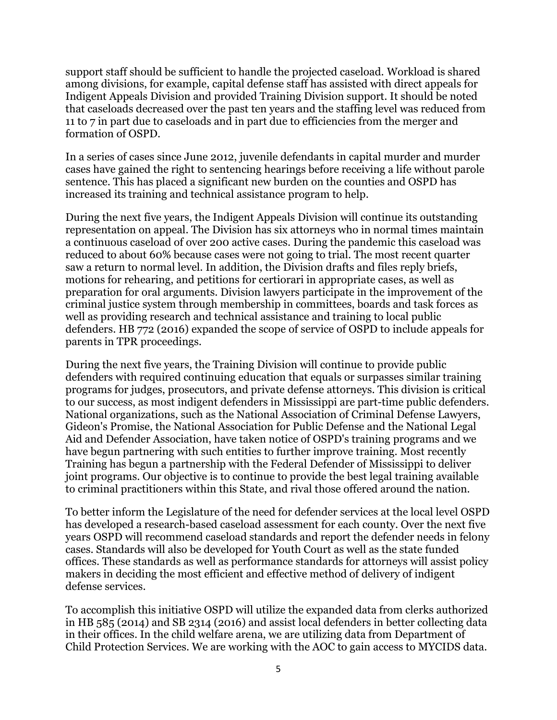support staff should be sufficient to handle the projected caseload. Workload is shared among divisions, for example, capital defense staff has assisted with direct appeals for Indigent Appeals Division and provided Training Division support. It should be noted that caseloads decreased over the past ten years and the staffing level was reduced from 11 to 7 in part due to caseloads and in part due to efficiencies from the merger and formation of OSPD.

In a series of cases since June 2012, juvenile defendants in capital murder and murder cases have gained the right to sentencing hearings before receiving a life without parole sentence. This has placed a significant new burden on the counties and OSPD has increased its training and technical assistance program to help.

During the next five years, the Indigent Appeals Division will continue its outstanding representation on appeal. The Division has six attorneys who in normal times maintain a continuous caseload of over 200 active cases. During the pandemic this caseload was reduced to about 60% because cases were not going to trial. The most recent quarter saw a return to normal level. In addition, the Division drafts and files reply briefs, motions for rehearing, and petitions for certiorari in appropriate cases, as well as preparation for oral arguments. Division lawyers participate in the improvement of the criminal justice system through membership in committees, boards and task forces as well as providing research and technical assistance and training to local public defenders. HB 772 (2016) expanded the scope of service of OSPD to include appeals for parents in TPR proceedings.

During the next five years, the Training Division will continue to provide public defenders with required continuing education that equals or surpasses similar training programs for judges, prosecutors, and private defense attorneys. This division is critical to our success, as most indigent defenders in Mississippi are part-time public defenders. National organizations, such as the National Association of Criminal Defense Lawyers, Gideon's Promise, the National Association for Public Defense and the National Legal Aid and Defender Association, have taken notice of OSPD's training programs and we have begun partnering with such entities to further improve training. Most recently Training has begun a partnership with the Federal Defender of Mississippi to deliver joint programs. Our objective is to continue to provide the best legal training available to criminal practitioners within this State, and rival those offered around the nation.

To better inform the Legislature of the need for defender services at the local level OSPD has developed a research-based caseload assessment for each county. Over the next five years OSPD will recommend caseload standards and report the defender needs in felony cases. Standards will also be developed for Youth Court as well as the state funded offices. These standards as well as performance standards for attorneys will assist policy makers in deciding the most efficient and effective method of delivery of indigent defense services.

To accomplish this initiative OSPD will utilize the expanded data from clerks authorized in HB 585 (2014) and SB 2314 (2016) and assist local defenders in better collecting data in their offices. In the child welfare arena, we are utilizing data from Department of Child Protection Services. We are working with the AOC to gain access to MYCIDS data.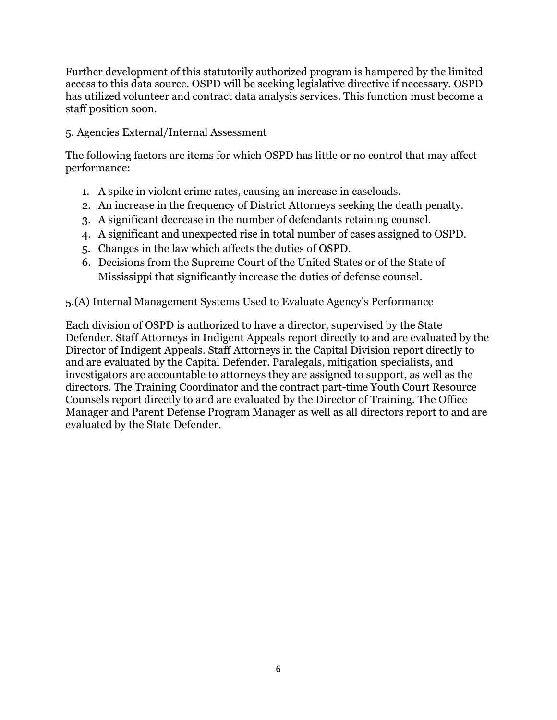Further development of this statutorily authorized program is hampered by the limited access to this data source. OSPD will be seeking legislative directive if necessary. OSPD has utilized volunteer and contract data analysis services. This function must become a staff position soon.

# 5. Agencies External/Internal Assessment

The following factors are items for which OSPD has little or no control that may affect performance:

- 1. A spike in violent crime rates, causing an increase in caseloads.
- 2. An increase in the frequency of District Attorneys seeking the death penalty.
- 3. A significant decrease in the number of defendants retaining counsel.
- 4. A significant and unexpected rise in total number of cases assigned to OSPD.
- 5. Changes in the law which affects the duties of OSPD.
- 6. Decisions from the Supreme Court of the United States or of the State of Mississippi that significantly increase the duties of defense counsel.

# 5.(A) Internal Management Systems Used to Evaluate Agency's Performance

Each division of OSPD is authorized to have a director, supervised by the State Defender. Staff Attorneys in Indigent Appeals report directly to and are evaluated by the Director of Indigent Appeals. Staff Attorneys in the Capital Division report directly to and are evaluated by the Capital Defender. Paralegals, mitigation specialists, and investigators are accountable to attorneys they are assigned to support, as well as the directors. The Training Coordinator and the contract part-time Youth Court Resource Counsels report directly to and are evaluated by the Director of Training. The Office Manager and Parent Defense Program Manager as well as all directors report to and are evaluated by the State Defender.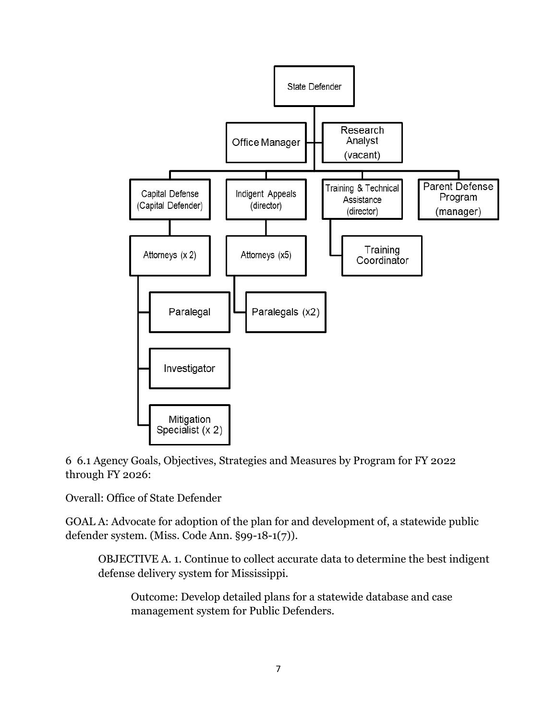

6 6.1 Agency Goals, Objectives, Strategies and Measures by Program for FY 2022 through FY 2026:

Overall: Office of State Defender

GOAL A: Advocate for adoption of the plan for and development of, a statewide public defender system. (Miss. Code Ann. §99-18-1(7)).

OBJECTIVE A. 1. Continue to collect accurate data to determine the best indigent defense delivery system for Mississippi.

Outcome: Develop detailed plans for a statewide database and case management system for Public Defenders.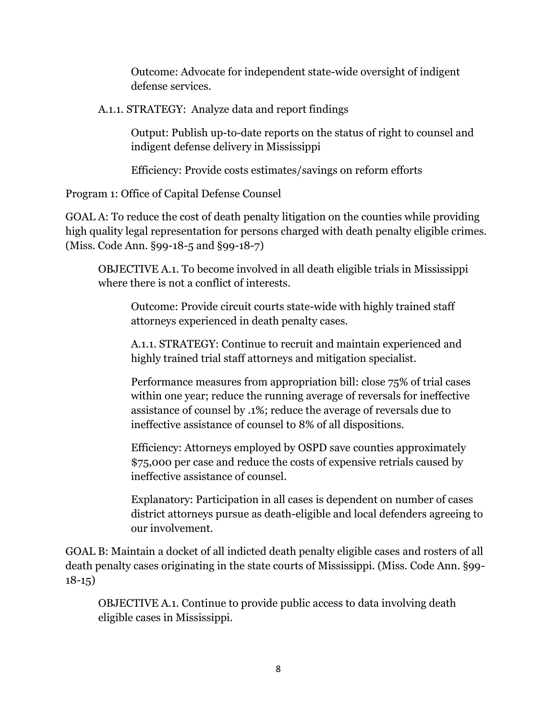Outcome: Advocate for independent state-wide oversight of indigent defense services.

A.1.1. STRATEGY: Analyze data and report findings

Output: Publish up-to-date reports on the status of right to counsel and indigent defense delivery in Mississippi

Efficiency: Provide costs estimates/savings on reform efforts

Program 1: Office of Capital Defense Counsel

GOAL A: To reduce the cost of death penalty litigation on the counties while providing high quality legal representation for persons charged with death penalty eligible crimes. (Miss. Code Ann. §99-18-5 and §99-18-7)

OBJECTIVE A.1. To become involved in all death eligible trials in Mississippi where there is not a conflict of interests.

Outcome: Provide circuit courts state-wide with highly trained staff attorneys experienced in death penalty cases.

A.1.1. STRATEGY: Continue to recruit and maintain experienced and highly trained trial staff attorneys and mitigation specialist.

Performance measures from appropriation bill: close 75% of trial cases within one year; reduce the running average of reversals for ineffective assistance of counsel by .1%; reduce the average of reversals due to ineffective assistance of counsel to 8% of all dispositions.

Efficiency: Attorneys employed by OSPD save counties approximately \$75,000 per case and reduce the costs of expensive retrials caused by ineffective assistance of counsel.

Explanatory: Participation in all cases is dependent on number of cases district attorneys pursue as death-eligible and local defenders agreeing to our involvement.

GOAL B: Maintain a docket of all indicted death penalty eligible cases and rosters of all death penalty cases originating in the state courts of Mississippi. (Miss. Code Ann. §99- 18-15)

OBJECTIVE A.1. Continue to provide public access to data involving death eligible cases in Mississippi.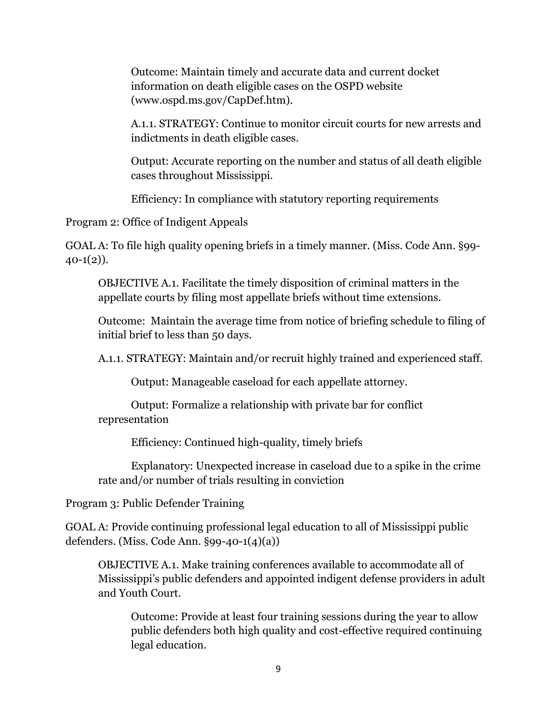Outcome: Maintain timely and accurate data and current docket information on death eligible cases on the OSPD website (www.ospd.ms.gov/CapDef.htm).

A.1.1. STRATEGY: Continue to monitor circuit courts for new arrests and indictments in death eligible cases.

Output: Accurate reporting on the number and status of all death eligible cases throughout Mississippi.

Efficiency: In compliance with statutory reporting requirements

Program 2: Office of Indigent Appeals

GOAL A: To file high quality opening briefs in a timely manner. (Miss. Code Ann. §99-  $40-1(2)$ ).

OBJECTIVE A.1. Facilitate the timely disposition of criminal matters in the appellate courts by filing most appellate briefs without time extensions.

Outcome: Maintain the average time from notice of briefing schedule to filing of initial brief to less than 50 days.

A.1.1. STRATEGY: Maintain and/or recruit highly trained and experienced staff.

Output: Manageable caseload for each appellate attorney.

Output: Formalize a relationship with private bar for conflict representation

Efficiency: Continued high-quality, timely briefs

Explanatory: Unexpected increase in caseload due to a spike in the crime rate and/or number of trials resulting in conviction

Program 3: Public Defender Training

GOAL A: Provide continuing professional legal education to all of Mississippi public defenders. (Miss. Code Ann. §99-40-1(4)(a))

OBJECTIVE A.1. Make training conferences available to accommodate all of Mississippi's public defenders and appointed indigent defense providers in adult and Youth Court.

Outcome: Provide at least four training sessions during the year to allow public defenders both high quality and cost-effective required continuing legal education.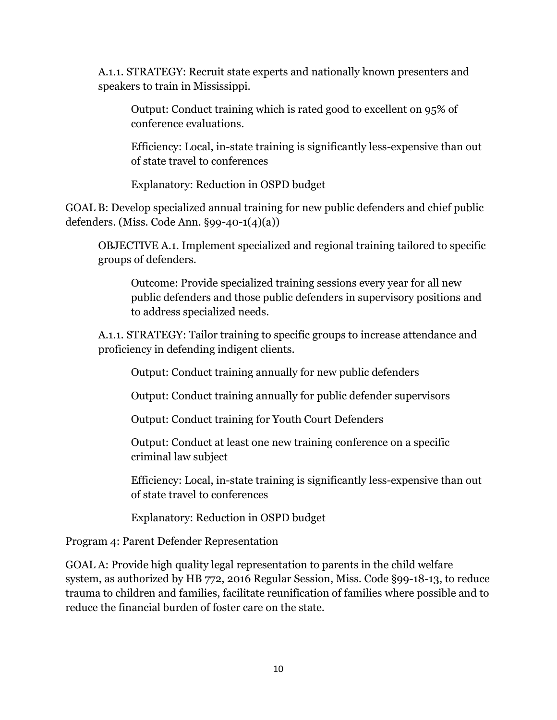A.1.1. STRATEGY: Recruit state experts and nationally known presenters and speakers to train in Mississippi.

Output: Conduct training which is rated good to excellent on 95% of conference evaluations.

Efficiency: Local, in-state training is significantly less-expensive than out of state travel to conferences

Explanatory: Reduction in OSPD budget

GOAL B: Develop specialized annual training for new public defenders and chief public defenders. (Miss. Code Ann. §99-40-1(4)(a))

OBJECTIVE A.1. Implement specialized and regional training tailored to specific groups of defenders.

Outcome: Provide specialized training sessions every year for all new public defenders and those public defenders in supervisory positions and to address specialized needs.

A.1.1. STRATEGY: Tailor training to specific groups to increase attendance and proficiency in defending indigent clients.

Output: Conduct training annually for new public defenders

Output: Conduct training annually for public defender supervisors

Output: Conduct training for Youth Court Defenders

Output: Conduct at least one new training conference on a specific criminal law subject

Efficiency: Local, in-state training is significantly less-expensive than out of state travel to conferences

Explanatory: Reduction in OSPD budget

Program 4: Parent Defender Representation

GOAL A: Provide high quality legal representation to parents in the child welfare system, as authorized by HB 772, 2016 Regular Session, Miss. Code §99-18-13, to reduce trauma to children and families, facilitate reunification of families where possible and to reduce the financial burden of foster care on the state.